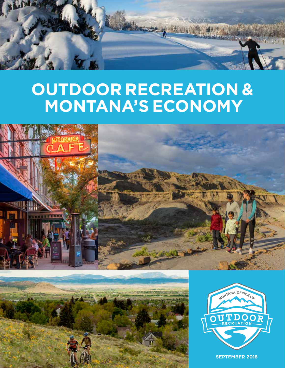

# **OUTDOOR RECREATION & MONTANA'S ECONOMY**







**SEPTEMBER 2018**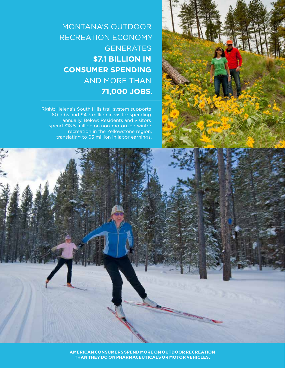

MONTANA'S OUTDOOR RECREATION ECONOMY **GENERATES \$7.1 BILLION IN CONSUMER SPENDING** AND MORE THAN **71,000 JOBS.**

Right: Helena's South Hills trail system supports 60 jobs and \$4.3 million in visitor spending annually. Below: Residents and visitors spend \$18.5 million on non-motorized winter recreation in the Yellowstone region, translating to \$3 million in labor earnings.

2 | Montana Office of Outdoor Recreation | business.mt.gov **AMERICAN CONSUMERS SPEND MORE ON OUTDOOR RECREATION THAN THEY DO ON PHARMACEUTICALS OR MOTOR VEHICLES.**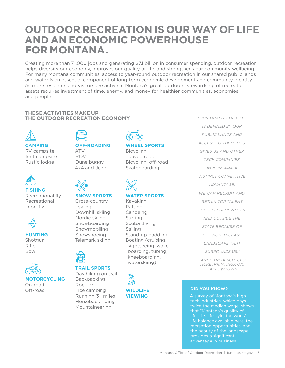### **OUTDOOR RECREATION IS OUR WAY OF LIFE AND AN ECONOMIC POWERHOUSE FOR MONTANA.**

Creating more than 71,000 jobs and generating \$7.1 billion in consumer spending, outdoor recreation helps diversify our economy, improves our quality of life, and strengthens our community wellbeing. For many Montana communities, access to year-round outdoor recreation in our shared public lands and water is an essential component of long-term economic development and community identity. As more residents and visitors are active in Montana's great outdoors, stewardship of recreation assets requires investment of time, energy, and money for healthier communities, economies, and people.

### **THESE ACTIVITIES MAKE UP THE OUTDOOR RECREATION ECONOMY**



### **CAMPING**

RV campsite Tent campsite Rustic lodge



**FISHING** Recreational fly Recreational non-fly



**HUNTING**

Shotgun Rifle Bow



**MOTORCYCLING** On-road Off-road

#### **OFF-ROADING** ATV ROV

Dune buggy 4x4 and Jeep



### **SNOW SPORTS**

### Cross-country skiing Downhill skiing Nordic skiing Snowboarding Snowmobiling Snowshoeing Telemark skiing



#### **TRAIL SPORTS** Day hiking on trail **Backpacking**

Rock or ice climbing Running 3+ miles Horseback riding Mountaineering



**WHEEL SPORTS**

Bicycling, paved road Bicycling, off-road Skateboarding

### **WATER SPORTS**

Kayaking Rafting Canoeing Surfing Scuba diving Sailing Stand-up paddling Boating (cruising, sightseeing, wakeboarding, tubing, kneeboarding, waterskiing)

"OUR QUALITY OF LIFE IS DEFINED BY OUR PUBLIC LANDS AND ACCESS TO THEM. THIS GIVES US AND OTHER TECH COMPANIES IN MONTANA A DISTINCT COMPETITIVE ADVANTAGE. WE CAN RECRUIT AND RETAIN TOP TALENT SUCCESSFULLY WITHIN AND OUTSIDE THE STATE BECAUSE OF THE WORLD-CLASS LANDSCAPE THAT SURROUNDS US."

LANCE TREBESCH, CEO TICKETPRINTING.COM, HARLOWTOWN

### **DID YOU KNOW?**

A survey of Montana's hightech industries, which pays twice the median wage, shows that "Montana's quality of life – its lifestyle, the work/ life balance available here, the recreation opportunities, and the beauty of the landscape" provides a significant advantage in business.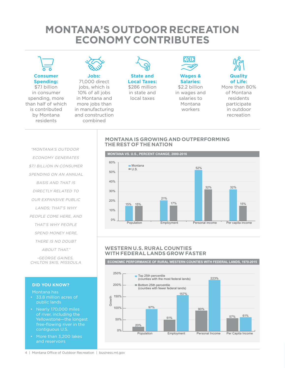### **MONTANA'S OUTDOOR RECREATION ECONOMY CONTRIBUTES**



**Consumer Spending:** 

\$7.1 billion in consumer spending, more than half of which is contributed by Montana residents



**Jobs:** 71,000 direct jobs, which is 10% of all jobs in Montana and more jobs than in manufacturing and construction combined



**State and Local Taxes:** \$286 million in state and local taxes



### **Wages & Salaries:**

\$2.2 billion in wages and salaries to Montana workers



**Quality of Life:** 

More than 80% of Montana residents participate in outdoor recreation

### **MONTANA IS GROWING AND OUTPERFORMING THE REST OF THE NATION**

"MONTANA'S OUTDOOR ECONOMY GENERATES \$7.1 BILLION IN CONSUMER SPENDING ON AN ANNUAL BASIS AND THAT IS DIRECTLY RELATED TO OUR EXPANSIVE PUBLIC LANDS; THAT'S WHY PEOPLE COME HERE, AND THAT'S WHY PEOPLE SPEND MONEY HERE, THERE IS NO DOUBT ABOUT THAT." -GEORGE GAINES,

### **DID YOU KNOW?**

CHILTON SKIS, MISSOULA

Montana has

- 33.8 million acres of public lands
- Nearly 170,000 miles of river, including the Yellowstone—the longest free-flowing river in the contiguous U.S.
- More than 3,200 lakes and reservoirs



### **WESTERN U.S. RURAL COUNTIES WITH FEDERAL LANDS GROW FASTER**

**ECONOMIC PERFORMANCE OF RURAL WESTERN COUNTIES WITH FEDERAL LANDS, 1970-2015**

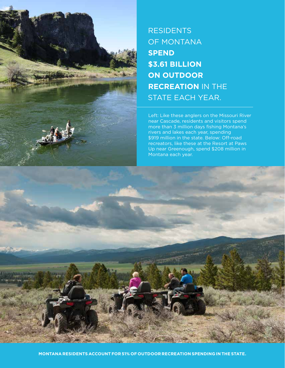

### **RESIDENTS** OF MONTANA **SPEND \$3.61 BILLION ON OUTDOOR RECREATION** IN THE STATE EACH YEAR.

Left: Like these anglers on the Missouri River near Cascade, residents and visitors spend more than 3 million days fishing Montana's rivers and lakes each year, spending \$919 million in the state. Below: Off-road recreators, like these at the Resort at Paws Up near Greenough, spend \$208 million in Montana each year.

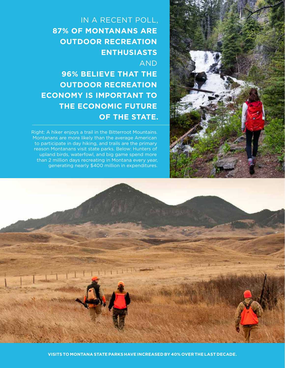

**96% BELIEVE THAT THE OUTDOOR RECREATION ECONOMY IS IMPORTANT TO THE ECONOMIC FUTURE OF THE STATE.**

Right: A hiker enjoys a trail in the Bitterroot Mountains. Montanans are more likely than the average American to participate in day hiking, and trails are the primary reason Montanans visit state parks. Below: Hunters of upland birds, waterfowl, and big game spend more than 2 million days recreating in Montana every year, generating nearly \$400 million in expenditures.





1-1-14 1-14 14 11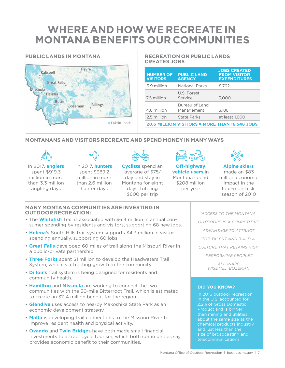## **WHERE AND HOW WE RECREATE IN MONTANA BENEFITS OUR COMMUNITIES**

### **PUBLIC LANDS IN MONTANA**



#### **RECREATION ON PUBLIC LANDS CREATES JOBS**

| <b>NUMBER OF</b><br><b>VISITORS</b>                  | <b>PUBLIC LAND</b><br><b>AGENCY</b> | <b>JOBS CREATED</b><br><b>FROM VISITOR</b><br><b>EXPENDITURES</b> |
|------------------------------------------------------|-------------------------------------|-------------------------------------------------------------------|
| 5.9 million                                          | <b>National Parks</b>               | 8,762                                                             |
| 7.5 million                                          | U.S. Forest<br>Service              | 3,000                                                             |
| 4.6 million                                          | Bureau of Land<br>Management        | 3.186                                                             |
| 2.5 million                                          | <b>State Parks</b>                  | at least 1.600                                                    |
| <b>20.6 MILLION VISITORS = MORE THAN 16,548 JOBS</b> |                                     |                                                                   |

### **MONTANANS AND VISITORS RECREATE AND SPEND MONEY IN MANY WAYS**



 $\overline{a}$ 



In 2017, **anglers** spent \$919.3 million in more than 3.3 million angling days hunter days

In 2017, **hunters** spent \$389.2 million in more than 2.6 million



**Cyclists** spend an average of \$75/ day and stay in Montana for eight days, totaling \$600 per trip



**Off-highway vehicle users** in Montana spend \$208 million per year



**Alpine skiers**  made an \$83 million economic impact in the four-month ski season of 2010

### **MANY MONTANA COMMUNITIES ARE INVESTING IN OUTDOOR RECREATION:**

- The **Whitefish** Trail is associated with \$6.4 million in annual consumer spending by residents and visitors, supporting 68 new jobs.
- **Helena's** South Hills trail system supports \$4.3 million in visitor spending annually, supporting 60 jobs.
- **Great Falls** developed 60 miles of trail along the Missouri River in a public-private partnership.
- **Three Forks** spent \$1 million to develop the Headwaters Trail System, which is attracting growth to the community.
- **Dillon's** trail system is being designed for residents and community health.
- **Hamilton** and **Missoula** are working to connect the two communities with the 50-mile Bitterroot Trail, which is estimated to create an \$11.4 million benefit for the region.
- **Glendive** uses access to nearby Makoshika State Park as an economic development strategy.
- **Malta** is developing trail connections to the Missouri River to improve resident health and physical activity.
- **Ovando** and **Twin Bridges** have both made small financial investments to attract cycle tourism, which both communities say provides economic benefit to their communities.

"ACCESS TO THE MONTANA OUTDOORS IS A COMPETITIVE ADVANTAGE TO ATTRACT TOP TALENT AND BUILD A CULTURE THAT RETAINS HIGH PERFORMING PEOPLE." -ALI KNAPP, WISETAIL, BOZEMAN

#### **DID YOU KNOW?**

In 2016 outdoor recreation in the U.S. accounted for 2.2% of Gross Domestic Product and is bigger than mining and utilities, about the same size as the size of broadcasting and telecommunications.